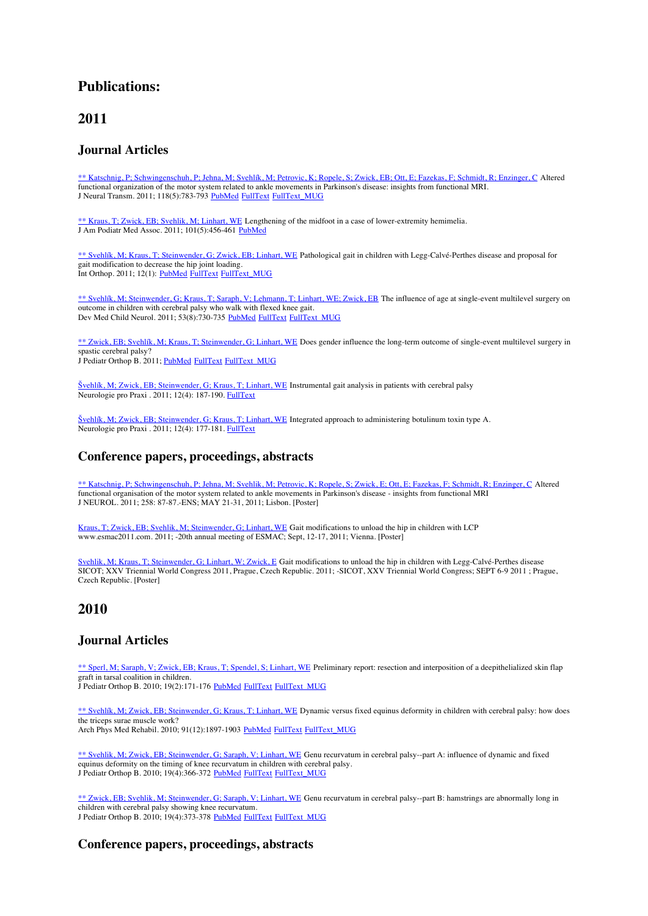# **Publications:**

# **2011**

### **Journal Articles**

\*\* Katschnig, P; Schwingenschuh, P; Jehna, M; Svehlík, M; Petrovic, K; Ropele, S; Zwick, EB; Ott, E; Fazekas, F; Schmidt, R; Enzinger, C Altered functional organization of the motor system related to ankle movements in Parkinson's disease: insights from functional MRI. J Neural Transm. 2011; 118(5):783-793 PubMed FullText FullText MUG

\*\* Kraus, T; Zwick, EB; Svehlik, M; Linhart, WE Lengthening of the midfoot in a case of lower-extremity hemimelia. J Am Podiatr Med Assoc. 2011; 101(5):456-461 PubMed

\*\* Svehlík, M; Kraus, T; Steinwender, G; Zwick, EB; Linhart, WE Pathological gait in children with Legg-Calvé-Perthes disease and proposal for gait modification to decrease the hip joint loading. Int Orthop. 2011; 12(1): PubMed FullText FullText MUG

\*\* Svehlík, M; Steinwender, G; Kraus, T; Saraph, V; Lehmann, T; Linhart, WE; Zwick, EB The influence of age at single-event multilevel surgery on outcome in children with cerebral palsy who walk with flexed knee gait. Dev Med Child Neurol. 2011; 53(8):730-735 PubMed FullText FullText MUG

\*\* Zwick, EB; Svehlík, M; Kraus, T; Steinwender, G; Linhart, WE Does gender influence the long-term outcome of single-event multilevel surgery in spastic cerebral palsy? J Pediatr Orthop B. 2011; PubMed FullText FullText MUG

Švehlík, M; Zwick, EB; Steinwender, G; Kraus, T; Linhart, WE Instrumental gait analysis in patients with cerebral palsy Neurologie pro Praxi . 2011; 12(4): 187-190. FullText

Švehlík, M; Zwick, EB; Steinwender, G; Kraus, T; Linhart, WE Integrated approach to administering botulinum toxin type A. Neurologie pro Praxi . 2011; 12(4): 177-181. FullText

# **Conference papers, proceedings, abstracts**

\*\* Katschnig, P; Schwingenschuh, P; Jehna, M; Svehlik, M; Petrovic, K; Ropele, S; Zwick, E; Ott, E; Fazekas, F; Schmidt, R; Enzinger, C Altered functional organisation of the motor system related to ankle movements in Parkinson's disease - insights from functional MRI J NEUROL. 2011; 258: 87-87.-ENS; MAY 21-31, 2011; Lisbon. [Poster]

Kraus, T; Zwick, EB; Svehlik, M; Steinwender, G; Linhart, WE Gait modifications to unload the hip in children with LCP www.esmac2011.com. 2011; -20th annual meeting of ESMAC; Sept, 12-17, 2011; Vienna. [Poster]

Svehlik, M; Kraus, T; Steinwender, G; Linhart, W; Zwick, E Gait modifications to unload the hip in children with Legg-Calvé-Perthes disease SICOT; XXV Triennial World Congress 2011, Prague, Czech Republic. 2011; -SICOT, XXV Triennial World Congress; SEPT 6-9 2011 ; Prague, Czech Republic. [Poster]

# **2010**

# **Journal Articles**

\*\* Sperl, M; Saraph, V; Zwick, EB; Kraus, T; Spendel, S; Linhart, WE Preliminary report: resection and interposition of a deepithelialized skin flap graft in tarsal coalition in children.

J Pediatr Orthop B. 2010; 19(2):171-176 PubMed FullText FullText\_MUG

\*\* Svehlík, M; Zwick, EB; Steinwender, G; Kraus, T; Linhart, WE Dynamic versus fixed equinus deformity in children with cerebral palsy: how does the triceps surae muscle work?

Arch Phys Med Rehabil. 2010; 91(12):1897-1903 PubMed FullText FullText MUG

\*\* Svehlik, M; Zwick, EB; Steinwender, G; Saraph, V; Linhart, WE Genu recurvatum in cerebral palsy--part A: influence of dynamic and fixed equinus deformity on the timing of knee recurvatum in children with cerebral palsy. J Pediatr Orthop B. 2010; 19(4):366-372 PubMed FullText FullText\_MUG

\*\* Zwick, EB; Svehlik, M; Steinwender, G; Saraph, V; Linhart, WE Genu recurvatum in cerebral palsy--part B: hamstrings are abnormally long in children with cerebral palsy showing knee recurvatum. J Pediatr Orthop B. 2010; 19(4):373-378 PubMed FullText FullText MUG

# **Conference papers, proceedings, abstracts**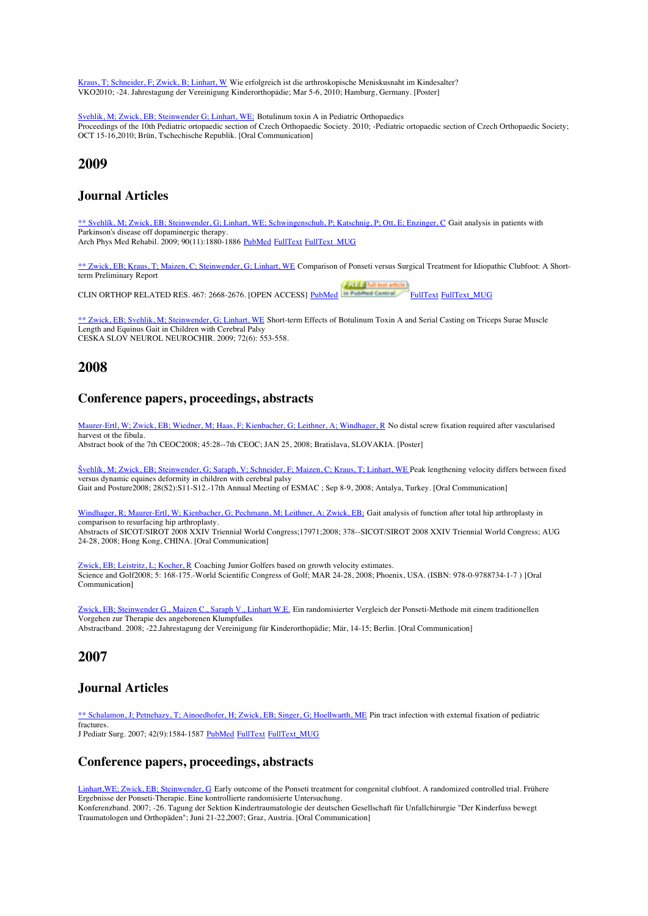Kraus, T; Schneider, F; Zwick, B; Linhart, W Wie erfolgreich ist die arthroskopische Meniskusnaht im Kindesalter? VKO2010; -24. Jahrestagung der Vereinigung Kinderorthopädie; Mar 5-6, 2010; Hamburg, Germany. [Poster]

Svehlik, M; Zwick, EB; Steinwender G; Linhart, WE; Botulinum toxin A in Pediatric Orthopaedics Proceedings of the 10th Pediatric ortopaedic section of Czech Orthopaedic Society. 2010; -Pediatric ortopaedic section of Czech Orthopaedic Society; OCT 15-16,2010; Brün, Tschechische Republik. [Oral Communication]

# **2009**

# **Journal Articles**

\*\* Svehlík, M; Zwick, EB; Steinwender, G; Linhart, WE; Schwingenschuh, P; Katschnig, P; Ott, E; Enzinger, C Gait analysis in patients with Parkinson's disease off dopaminergic therapy.

Arch Phys Med Rehabil. 2009; 90(11):1880-1886 PubMed FullText FullText MUG

\*\* Zwick, EB; Kraus, T; Maizen, C; Steinwender, G; Linhart, WE Comparison of Ponseti versus Surgical Treatment for Idiopathic Clubfoot: A Shortterm Preliminary Report

CLIN ORTHOP RELATED RES. 467: 2668-2676. [OPEN ACCESS] PubMed **FullText FullText FullText MUG** 

\*\* Zwick, EB; Svehlik, M; Steinwender, G; Linhart, WE Short-term Effects of Botulinum Toxin A and Serial Casting on Triceps Surae Muscle Length and Equinus Gait in Children with Cerebral Palsy CESKA SLOV NEUROL NEUROCHIR. 2009; 72(6): 553-558.

# **2008**

# **Conference papers, proceedings, abstracts**

Maurer-Ertl, W; Zwick, EB; Wiedner, M; Haas, F; Kienbacher, G; Leithner, A; Windhager, R No distal screw fixation required after vascularised harvest ot the fibula. Abstract book of the 7th CEOC2008; 45:28--7th CEOC; JAN 25, 2008; Bratislava, SLOVAKIA. [Poster]

Švehlík, M; Zwick, EB; Steinwender, G; Saraph, V; Schneider, F; Maizen, C; Kraus, T; Linhart, WE Peak lengthening velocity differs between fixed versus dynamic equines deformity in children with cerebral palsy Gait and Posture2008; 28(S2):S11-S12.-17th Annual Meeting of ESMAC ; Sep 8-9, 2008; Antalya, Turkey. [Oral Communication]

Windhager, R; Maurer-Ertl, W; Kienbacher, G; Pechmann, M; Leithner, A; Zwick, EB; Gait analysis of function after total hip arthroplasty in comparison to resurfacing hip arthroplasty.

Abstracts of SICOT/SIROT 2008 XXIV Triennial World Congress;17971;2008; 378--SICOT/SIROT 2008 XXIV Triennial World Congress; AUG 24-28, 2008; Hong Kong, CHINA. [Oral Communication]

Zwick, EB; Leistritz, L; Kocher, R Coaching Junior Golfers based on growth velocity estimates. Science and Golf2008; 5: 168-175.-World Scientific Congress of Golf; MAR 24-28, 2008; Phoenix, USA. (ISBN: 978-0-9788734-1-7 ) [Oral Communication]

Zwick, EB; Steinwender G., Maizen C., Saraph V., Linhart W.E. Ein randomisierter Vergleich der Ponseti-Methode mit einem traditionellen Vorgehen zur Therapie des angeborenen Klumpfußes Abstractband. 2008; -22.Jahrestagung der Vereinigung für Kinderorthopädie; Mär, 14-15; Berlin. [Oral Communication]

# **2007**

# **Journal Articles**

\*\* Schalamon, J; Petnehazy, T; Ainoedhofer, H; Zwick, EB; Singer, G; Hoellwarth, ME Pin tract infection with external fixation of pediatric **fractures** J Pediatr Surg. 2007; 42(9):1584-1587 PubMed FullText FullText MUG

### **Conference papers, proceedings, abstracts**

Linhart,WE; Zwick, EB; Steinwender, G Early outcome of the Ponseti treatment for congenital clubfoot. A randomized controlled trial. Frühere Ergebnisse der Ponseti-Therapie. Eine kontrollierte randomisierte Untersuchung. Konferenzband. 2007; -26. Tagung der Sektion Kindertraumatologie der deutschen Gesellschaft für Unfallchirurgie "Der Kinderfuss bewegt Traumatologen und Orthopäden"; Juni 21-22,2007; Graz, Austria. [Oral Communication]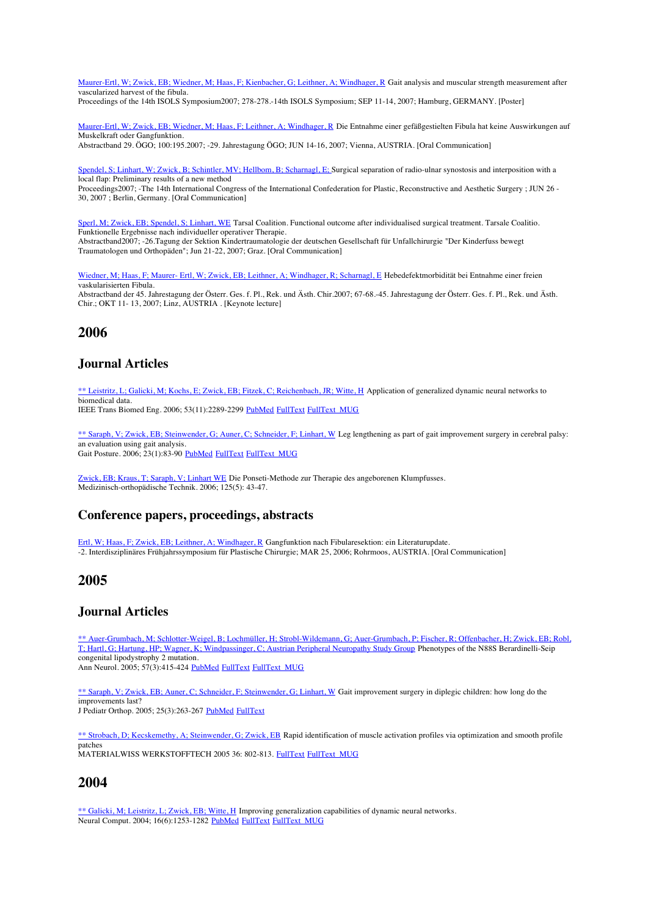Maurer-Ertl, W; Zwick, EB; Wiedner, M; Haas, F; Kienbacher, G; Leithner, A; Windhager, R Gait analysis and muscular strength measurement after vascularized harvest of the fibula.

Proceedings of the 14th ISOLS Symposium2007; 278-278.-14th ISOLS Symposium; SEP 11-14, 2007; Hamburg, GERMANY. [Poster]

Maurer-Ertl, W; Zwick, EB; Wiedner, M; Haas, F; Leithner, A; Windhager, R Die Entnahme einer gefäßgestielten Fibula hat keine Auswirkungen auf Muskelkraft oder Gangfunktion. Abstractband 29. ÖGO; 100:195.2007; -29. Jahrestagung ÖGO; JUN 14-16, 2007; Vienna, AUSTRIA. [Oral Communication]

Spendel, S; Linhart, W; Zwick, B; Schintler, MV; Hellbom, B; Scharnagl, E; Surgical separation of radio-ulnar synostosis and interposition with a local flap: Preliminary results of a new method Proceedings2007; -The 14th International Congress of the International Confederation for Plastic, Reconstructive and Aesthetic Surgery ; JUN 26 -

30, 2007 ; Berlin, Germany. [Oral Communication]

Sperl, M; Zwick, EB; Spendel, S; Linhart, WE Tarsal Coalition. Functional outcome after individualised surgical treatment. Tarsale Coalitio. Funktionelle Ergebnisse nach individueller operativer Therapie. Abstractband2007; -26.Tagung der Sektion Kindertraumatologie der deutschen Gesellschaft für Unfallchirurgie "Der Kinderfuss bewegt Traumatologen und Orthopäden"; Jun 21-22, 2007; Graz. [Oral Communication]

Wiedner, M; Haas, F; Maurer- Ertl, W; Zwick, EB; Leithner, A; Windhager, R; Scharnagl, E Hebedefektmorbidität bei Entnahme einer freien vaskularisierten Fibula. Abstractband der 45. Jahrestagung der Österr. Ges. f. Pl., Rek. und Ästh. Chir.2007; 67-68.-45. Jahrestagung der Österr. Ges. f. Pl., Rek. und Ästh. Chir.; OKT 11- 13, 2007; Linz, AUSTRIA . [Keynote lecture]

# **2006**

### **Journal Articles**

\*\* Leistritz, L; Galicki, M; Kochs, E; Zwick, EB; Fitzek, C; Reichenbach, JR; Witte, H Application of generalized dynamic neural networks to biomedical data.

IEEE Trans Biomed Eng. 2006; 53(11):2289-2299 PubMed FullText FullText MUG

\*\* Saraph, V; Zwick, EB; Steinwender, G; Auner, C; Schneider, F; Linhart, W. Leg lengthening as part of gait improvement surgery in cerebral palsy: an evaluation using gait analysis. Gait Posture. 2006; 23(1):83-90 PubMed FullText FullText\_MUG

Zwick, EB; Kraus, T; Saraph, V; Linhart WE Die Ponseti-Methode zur Therapie des angeborenen Klumpfusses. Medizinisch-orthopädische Technik. 2006; 125(5): 43-47.

# **Conference papers, proceedings, abstracts**

Ertl, W; Haas, F; Zwick, EB; Leithner, A; Windhager, R Gangfunktion nach Fibularesektion: ein Literaturupdate. -2. Interdisziplinäres Frühjahrssymposium für Plastische Chirurgie; MAR 25, 2006; Rohrmoos, AUSTRIA. [Oral Communication]

# **2005**

### **Journal Articles**

\*\* Auer-Grumbach, M; Schlotter-Weigel, B; Lochmüller, H; Strobl-Wildemann, G; Auer-Grumbach, P; Fischer, R; Offenbacher, H; Zwick, EB; Robl, T; Hartl, G; Hartung, HP; Wagner, K; Windpassinger, C; Austrian Peripheral Neuropathy Study Group Phenotypes of the N88S Berardinelli-Seip congenital lipodystrophy 2 mutation. Ann Neurol.  $2005$ ;  $57(3)$ :415-424 PubMed FullText FullText MUG

\*\* Saraph, V; Zwick, EB; Auner, C; Schneider, F; Steinwender, G; Linhart, W Gait improvement surgery in diplegic children: how long do the improvements last? J Pediatr Orthop. 2005; 25(3):263-267 PubMed FullText

\*\* Strobach, D; Kecskemethy, A; Steinwender, G; Zwick, EB Rapid identification of muscle activation profiles via optimization and smooth profile patches MATERIALWISS WERKSTOFFTECH 2005 36: 802-813. FullText FullText MUG

# **2004**

\*\* Galicki, M; Leistritz, L; Zwick, EB; Witte, H Improving generalization capabilities of dynamic neural networks. Neural Comput. 2004; 16(6):1253-1282 <u>PubMed FullText FullText\_MUG</u>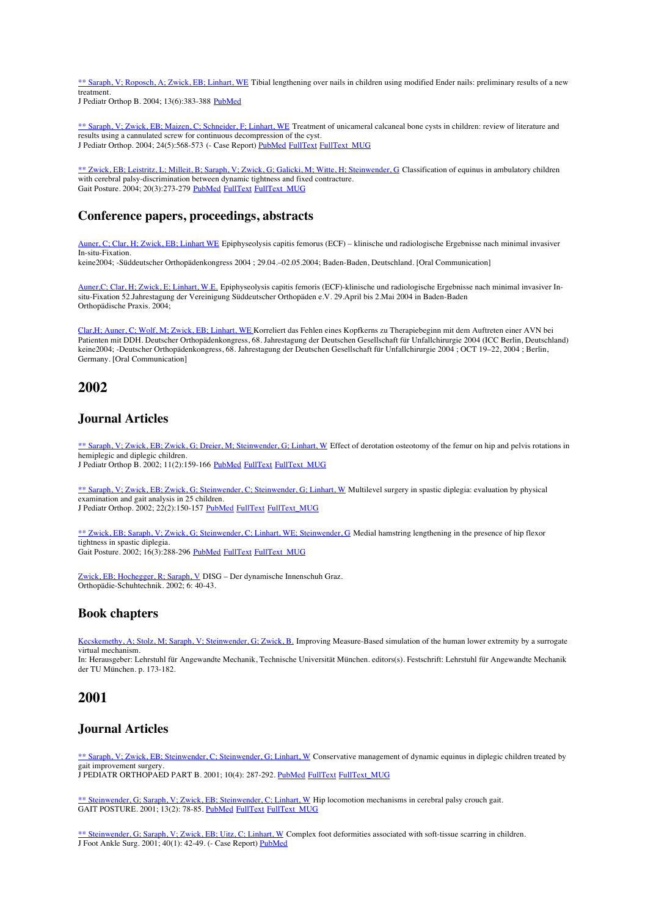\*\* Saraph, V; Roposch, A; Zwick, EB; Linhart, WE Tibial lengthening over nails in children using modified Ender nails: preliminary results of a new treatment.

J Pediatr Orthop B. 2004; 13(6):383-388 PubMed

\*\* Saraph, V; Zwick, EB; Maizen, C; Schneider, F; Linhart, WE Treatment of unicameral calcaneal bone cysts in children: review of literature and results using a cannulated screw for continuous decompression of the cyst. J Pediatr Orthop. 2004; 24(5):568-573 (- Case Report) PubMed FullText FullText MUG

\*\* Zwick, EB; Leistritz, L; Milleit, B; Saraph, V; Zwick, G; Galicki, M; Witte, H; Steinwender, G Classification of equinus in ambulatory children with cerebral palsy-discrimination between dynamic tightness and fixed contracture. Gait Posture. 2004; 20(3):273-279 PubMed FullText FullText MUG

### **Conference papers, proceedings, abstracts**

Auner, C; Clar, H; Zwick, EB; Linhart WE Epiphyseolysis capitis femorus (ECF) – klinische und radiologische Ergebnisse nach minimal invasiver In-situ-Fixation.

keine2004; -Süddeutscher Orthopädenkongress 2004 ; 29.04.–02.05.2004; Baden-Baden, Deutschland. [Oral Communication]

Auner,C; Clar, H; Zwick, E; Linhart, W.E. Epiphyseolysis capitis femoris (ECF)-klinische und radiologische Ergebnisse nach minimal invasiver Insitu-Fixation 52.Jahrestagung der Vereinigung Süddeutscher Orthopäden e.V. 29.April bis 2.Mai 2004 in Baden-Baden Orthopädische Praxis. 2004;

Clar,H; Auner, C; Wolf, M; Zwick, EB; Linhart, WE Korreliert das Fehlen eines Kopfkerns zu Therapiebeginn mit dem Auftreten einer AVN bei Patienten mit DDH. Deutscher Orthopädenkongress, 68. Jahrestagung der Deutschen Gesellschaft für Unfallchirurgie 2004 (ICC Berlin, Deutschland) keine2004; -Deutscher Orthopädenkongress, 68. Jahrestagung der Deutschen Gesellschaft für Unfallchirurgie 2004 ; OCT 19–22, 2004 ; Berlin, Germany. [Oral Communication]

# **2002**

#### **Journal Articles**

\*\* Saraph, V; Zwick, EB; Zwick, G; Dreier, M; Steinwender, G; Linhart, W. Effect of derotation osteotomy of the femur on hip and pelvis rotations in hemiplegic and diplegic children.

J Pediatr Orthop B. 2002; 11(2):159-166 PubMed FullText FullText MUG

\*\* Saraph, V; Zwick, EB; Zwick, G; Steinwender, C; Steinwender, G; Linhart, W Multilevel surgery in spastic diplegia: evaluation by physical examination and gait analysis in 25 children. J Pediatr Orthop. 2002; 22(2):150-157 PubMed FullText FullText\_MUG

\*\* Zwick, EB; Saraph, V; Zwick, G; Steinwender, C; Linhart, WE; Steinwender, G Medial hamstring lengthening in the presence of hip flexor tightness in spastic diplegia. Gait Posture. 2002; 16(3):288-296 PubMed FullText FullText MUG

Zwick, EB; Hochegger, R; Saraph, V DISG – Der dynamische Innenschuh Graz. Orthopädie-Schuhtechnik. 2002; 6: 40-43.

### **Book chapters**

Kecskemethy, A; Stolz, M; Saraph, V; Steinwender, G; Zwick, B. Improving Measure-Based simulation of the human lower extremity by a surrogate virtual mechanism.

In: Herausgeber: Lehrstuhl für Angewandte Mechanik, Technische Universität München. editors(s). Festschrift: Lehrstuhl für Angewandte Mechanik der TU München. p. 173-182.

### **2001**

### **Journal Articles**

\*\* Saraph, V; Zwick, EB; Steinwender, C; Steinwender, G; Linhart, W. Conservative management of dynamic equinus in diplegic children treated by gait improvement surgery. J PEDIATR ORTHOPAED PART B. 2001; 10(4): 287-292. PubMed FullText FullText MUG

\*\* Steinwender, G; Saraph, V; Zwick, EB; Steinwender, C; Linhart, W Hip locomotion mechanisms in cerebral palsy crouch gait. GAIT POSTURE. 2001; 13(2): 78-85. PubMed FullText FullText MUG

\*\* Steinwender, G; Saraph, V; Zwick, EB; Uitz, C; Linhart, W Complex foot deformities associated with soft-tissue scarring in children. J Foot Ankle Surg. 2001; 40(1): 42-49. (- Case Report) PubMed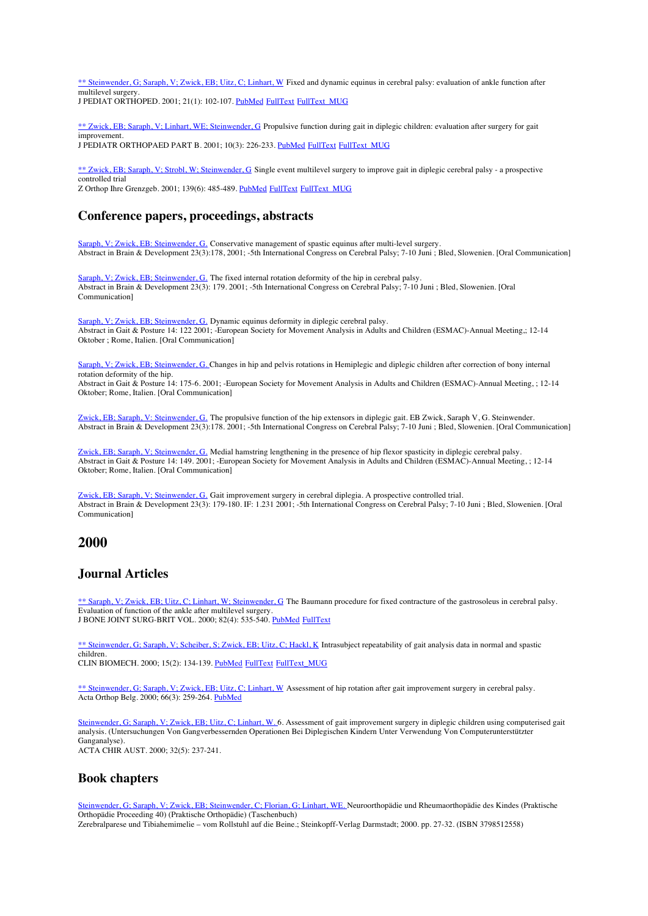\*\* Steinwender, G; Saraph, V; Zwick, EB; Uitz, C; Linhart, W. Fixed and dynamic equinus in cerebral palsy: evaluation of ankle function after multilevel surgery. J PEDIAT ORTHOPED. 2001; 21(1): 102-107. PubMed FullText FullText MUG

\*\* Zwick, EB; Saraph, V; Linhart, WE; Steinwender, G Propulsive function during gait in diplegic children: evaluation after surgery for gait improvement. J PEDIATR ORTHOPAED PART B. 2001; 10(3): 226-233. PubMed FullText FullText MUG

\*\* Zwick, EB; Saraph, V; Strobl, W; Steinwender, G Single event multilevel surgery to improve gait in diplegic cerebral palsy - a prospective controlled trial

Z Orthop Ihre Grenzgeb. 2001; 139(6): 485-489. PubMed FullText FullText MUG

# **Conference papers, proceedings, abstracts**

Saraph, V; Zwick, EB: Steinwender, G. Conservative management of spastic equinus after multi-level surgery. Abstract in Brain & Development 23(3):178, 2001; -5th International Congress on Cerebral Palsy; 7-10 Juni ; Bled, Slowenien. [Oral Communication]

Saraph, V; Zwick, EB; Steinwender, G. The fixed internal rotation deformity of the hip in cerebral palsy. Abstract in Brain & Development 23(3): 179. 2001; -5th International Congress on Cerebral Palsy; 7-10 Juni ; Bled, Slowenien. [Oral Communication]

Saraph, V; Zwick, EB; Steinwender, G. Dynamic equinus deformity in diplegic cerebral palsy. Abstract in Gait & Posture 14: 122 2001; -European Society for Movement Analysis in Adults and Children (ESMAC)-Annual Meeting,; 12-14 Oktober ; Rome, Italien. [Oral Communication]

Saraph, V; Zwick, EB; Steinwender, G. Changes in hip and pelvis rotations in Hemiplegic and diplegic children after correction of bony internal rotation deformity of the hip. Abstract in Gait & Posture 14: 175-6. 2001; -European Society for Movement Analysis in Adults and Children (ESMAC)-Annual Meeting, ; 12-14

Oktober; Rome, Italien. [Oral Communication]

Zwick, EB; Saraph, V: Steinwender, G. The propulsive function of the hip extensors in diplegic gait. EB Zwick, Saraph V, G. Steinwender. Abstract in Brain & Development 23(3):178. 2001; -5th International Congress on Cerebral Palsy; 7-10 Juni ; Bled, Slowenien. [Oral Communication]

Zwick, EB; Saraph, V; Steinwender, G. Medial hamstring lengthening in the presence of hip flexor spasticity in diplegic cerebral palsy. Abstract in Gait & Posture 14: 149. 2001; -European Society for Movement Analysis in Adults and Children (ESMAC)-Annual Meeting, ; 12-14 Oktober; Rome, Italien. [Oral Communication]

Zwick, EB; Saraph, V; Steinwender, G. Gait improvement surgery in cerebral diplegia. A prospective controlled trial. Abstract in Brain & Development 23(3): 179-180. IF: 1.231 2001; -5th International Congress on Cerebral Palsy; 7-10 Juni ; Bled, Slowenien. [Oral Communication]

# **2000**

### **Journal Articles**

\*\* Saraph, V; Zwick, EB; Uitz, C; Linhart, W; Steinwender, G The Baumann procedure for fixed contracture of the gastrosoleus in cerebral palsy. Evaluation of function of the ankle after multilevel surgery. J BONE JOINT SURG-BRIT VOL. 2000; 82(4): 535-540. PubMed FullText

\*\* Steinwender, G; Saraph, V; Scheiber, S; Zwick, EB; Uitz, C; Hackl, K Intrasubject repeatability of gait analysis data in normal and spastic children. CLIN BIOMECH. 2000; 15(2): 134-139. PubMed FullText FullText\_MUG

\*\* Steinwender, G; Saraph, V; Zwick, EB; Uitz, C; Linhart, W Assessment of hip rotation after gait improvement surgery in cerebral palsy. Acta Orthop Belg. 2000; 66(3): 259-264. PubMed

Steinwender, G; Saraph, V; Zwick, EB; Uitz, C; Linhart, W. 6. Assessment of gait improvement surgery in diplegic children using computerised gait analysis. (Untersuchungen Von Gangverbessernden Operationen Bei Diplegischen Kindern Unter Verwendung Von Computerunterstützter Ganganalyse). ACTA CHIR AUST. 2000; 32(5): 237-241.

### **Book chapters**

Steinwender, G; Saraph, V; Zwick, EB; Steinwender, C; Florian, G; Linhart, WE. Neuroorthopädie und Rheumaorthopädie des Kindes (Praktische Orthopädie Proceeding 40) (Praktische Orthopädie) (Taschenbuch) Zerebralparese und Tibiahemimelie – vom Rollstuhl auf die Beine.; Steinkopff-Verlag Darmstadt; 2000. pp. 27-32. (ISBN 3798512558)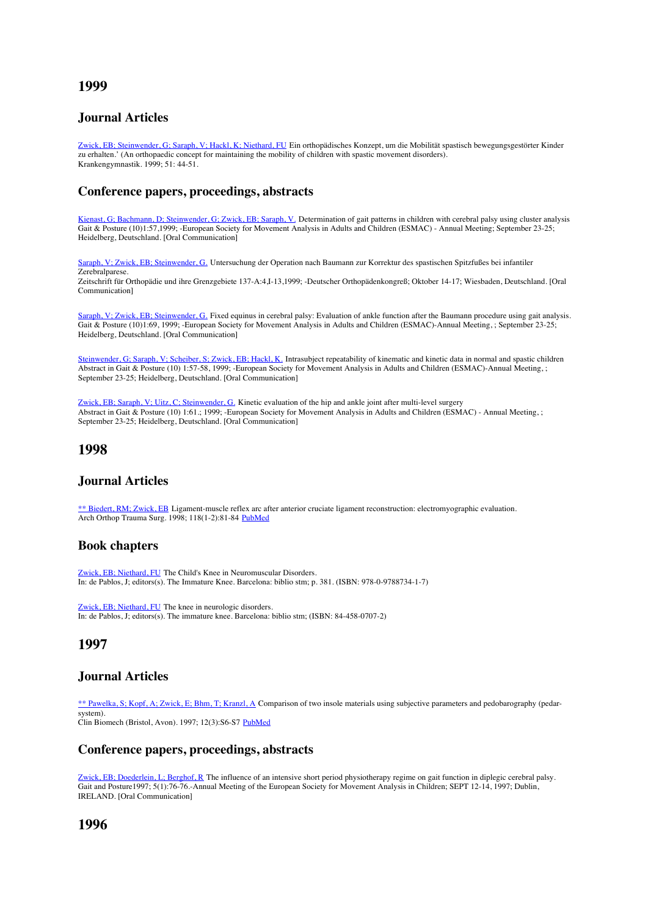# **1999**

# **Journal Articles**

Zwick, EB; Steinwender, G; Saraph, V; Hackl, K; Niethard, FU Ein orthopädisches Konzept, um die Mobilität spastisch bewegungsgestörter Kinder zu erhalten.' (An orthopaedic concept for maintaining the mobility of children with spastic movement disorders). Krankengymnastik. 1999; 51: 44-51.

### **Conference papers, proceedings, abstracts**

Kienast, G; Bachmann, D; Steinwender, G; Zwick, EB; Saraph, V. Determination of gait patterns in children with cerebral palsy using cluster analysis Gait & Posture (10)1:57,1999; -European Society for Movement Analysis in Adults and Children (ESMAC) - Annual Meeting; September 23-25; Heidelberg, Deutschland. [Oral Communication]

Saraph, V; Zwick, EB; Steinwender, G. Untersuchung der Operation nach Baumann zur Korrektur des spastischen Spitzfußes bei infantiler Zerebralparese. Zeitschrift für Orthopädie und ihre Grenzgebiete 137-A:4,I-13,1999; -Deutscher Orthopädenkongreß; Oktober 14-17; Wiesbaden, Deutschland. [Oral

Communication]

Saraph, V; Zwick, EB; Steinwender, G. Fixed equinus in cerebral palsy: Evaluation of ankle function after the Baumann procedure using gait analysis. Gait & Posture (10)1:69, 1999; -European Society for Movement Analysis in Adults and Children (ESMAC)-Annual Meeting, ; September 23-25; Heidelberg, Deutschland. [Oral Communication]

Steinwender, G; Saraph, V; Scheiber, S; Zwick, EB; Hackl, K. Intrasubject repeatability of kinematic and kinetic data in normal and spastic children Abstract in Gait & Posture (10) 1:57-58, 1999; -European Society for Movement Analysis in Adults and Children (ESMAC)-Annual Meeting, ; September 23-25; Heidelberg, Deutschland. [Oral Communication]

Zwick, EB; Saraph, V; Uitz, C; Steinwender, G. Kinetic evaluation of the hip and ankle joint after multi-level surgery Abstract in Gait & Posture (10) 1:61.; 1999; -European Society for Movement Analysis in Adults and Children (ESMAC) - Annual Meeting, ; September 23-25; Heidelberg, Deutschland. [Oral Communication]

# **1998**

### **Journal Articles**

\*\* Biedert, RM; Zwick, EB Ligament-muscle reflex arc after anterior cruciate ligament reconstruction: electromyographic evaluation. Arch Orthop Trauma Surg. 1998; 118(1-2):81-84 PubMed

#### **Book chapters**

Zwick, EB; Niethard, FU The Child's Knee in Neuromuscular Disorders. In: de Pablos, J; editors(s). The Immature Knee. Barcelona: biblio stm; p. 381. (ISBN: 978-0-9788734-1-7)

Zwick, EB; Niethard, FU The knee in neurologic disorders. In: de Pablos, J; editors(s). The immature knee. Barcelona: biblio stm; (ISBN: 84-458-0707-2)

### **1997**

### **Journal Articles**

\*\* Pawelka, S; Kopf, A; Zwick, E; Bhm, T; Kranzl, A Comparison of two insole materials using subjective parameters and pedobarography (pedarsystem).

Clin Biomech (Bristol, Avon). 1997; 12(3):S6-S7 PubMed

### **Conference papers, proceedings, abstracts**

Zwick, EB; Doederlein, L; Berghof, R The influence of an intensive short period physiotherapy regime on gait function in diplegic cerebral palsy. Gait and Posture1997; 5(1):76-76.-Annual Meeting of the European Society for Movement Analysis in Children; SEPT 12-14, 1997; Dublin, IRELAND. [Oral Communication]

# **1996**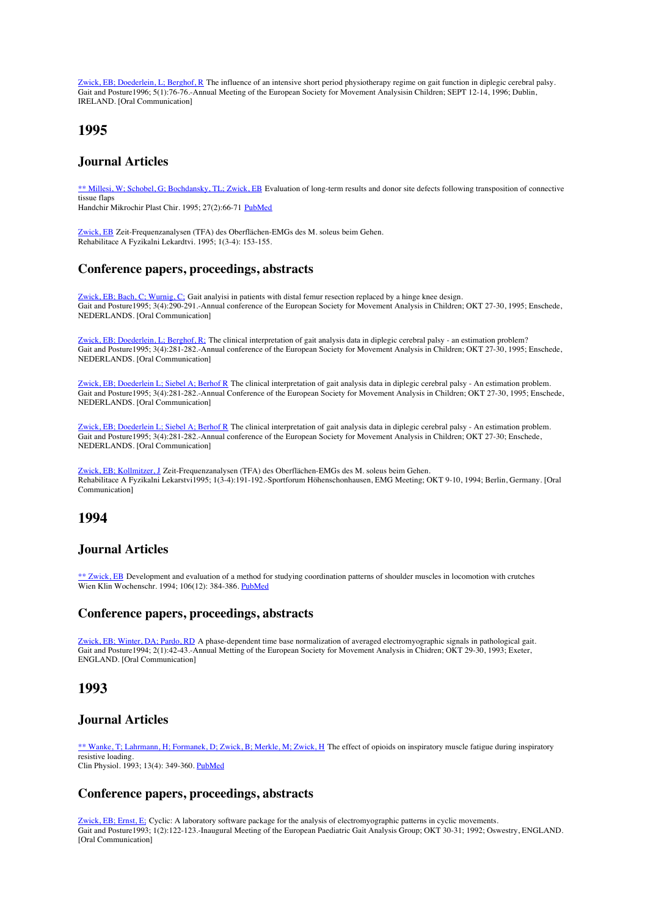Zwick, EB; Doederlein, L; Berghof, R The influence of an intensive short period physiotherapy regime on gait function in diplegic cerebral palsy. Gait and Posture1996; 5(1):76-76.-Annual Meeting of the European Society for Movement Analysisin Children; SEPT 12-14, 1996; Dublin, IRELAND. [Oral Communication]

# **1995**

# **Journal Articles**

\*\* Millesi, W; Schobel, G; Bochdansky, TL; Zwick, EB Evaluation of long-term results and donor site defects following transposition of connective tissue flaps

Handchir Mikrochir Plast Chir. 1995; 27(2):66-71 PubMed

Zwick, EB Zeit-Frequenzanalysen (TFA) des Oberflächen-EMGs des M. soleus beim Gehen. Rehabilitace A Fyzikalni Lekardtvi. 1995; 1(3-4): 153-155.

### **Conference papers, proceedings, abstracts**

Zwick, EB; Bach, C; Wurnig, C; Gait analyisi in patients with distal femur resection replaced by a hinge knee design. Gait and Posture1995; 3(4):290-291.-Annual conference of the European Society for Movement Analysis in Children; OKT 27-30, 1995; Enschede, NEDERLANDS. [Oral Communication]

Zwick, EB; Doederlein, L; Berghof, R; The clinical interpretation of gait analysis data in diplegic cerebral palsy - an estimation problem? Gait and Posture1995; 3(4):281-282.-Annual conference of the European Society for Movement Analysis in Children; OKT 27-30, 1995; Enschede, NEDERLANDS. [Oral Communication]

Zwick, EB; Doederlein L; Siebel A; Berhof R The clinical interpretation of gait analysis data in diplegic cerebral palsy - An estimation problem. Gait and Posture1995; 3(4):281-282.-Annual Conference of the European Society for Movement Analysis in Children; OKT 27-30, 1995; Enschede, NEDERLANDS. [Oral Communication]

Zwick, EB; Doederlein L; Siebel A; Berhof R The clinical interpretation of gait analysis data in diplegic cerebral palsy - An estimation problem. Gait and Posture1995; 3(4):281-282.-Annual conference of the European Society for Movement Analysis in Children; OKT 27-30; Enschede, NEDERLANDS. [Oral Communication]

Zwick, EB; Kollmitzer, J Zeit-Frequenzanalysen (TFA) des Oberflächen-EMGs des M. soleus beim Gehen. Rehabilitace A Fyzikalni Lekarstvi1995; 1(3-4):191-192.-Sportforum Höhenschonhausen, EMG Meeting; OKT 9-10, 1994; Berlin, Germany. [Oral Communication]

# **1994**

### **Journal Articles**

\*\* Zwick, EB Development and evaluation of a method for studying coordination patterns of shoulder muscles in locomotion with crutches Wien Klin Wochenschr. 1994; 106(12): 384-386. PubMed

### **Conference papers, proceedings, abstracts**

Zwick, EB; Winter, DA; Pardo, RD A phase-dependent time base normalization of averaged electromyographic signals in pathological gait. Gait and Posture1994; 2(1):42-43.-Annual Metting of the European Society for Movement Analysis in Chidren; OKT 29-30, 1993; Exeter, ENGLAND. [Oral Communication]

# **1993**

### **Journal Articles**

\*\* Wanke, T; Lahrmann, H; Formanek, D; Zwick, B; Merkle, M; Zwick, H The effect of opioids on inspiratory muscle fatigue during inspiratory resistive loading. Clin Physiol. 1993; 13(4): 349-360. PubMed

# **Conference papers, proceedings, abstracts**

Zwick, EB; Ernst, E; Cyclic: A laboratory software package for the analysis of electromyographic patterns in cyclic movements. Gait and Posture1993; 1(2):122-123.-Inaugural Meeting of the European Paediatric Gait Analysis Group; OKT 30-31; 1992; Oswestry, ENGLAND. [Oral Communication]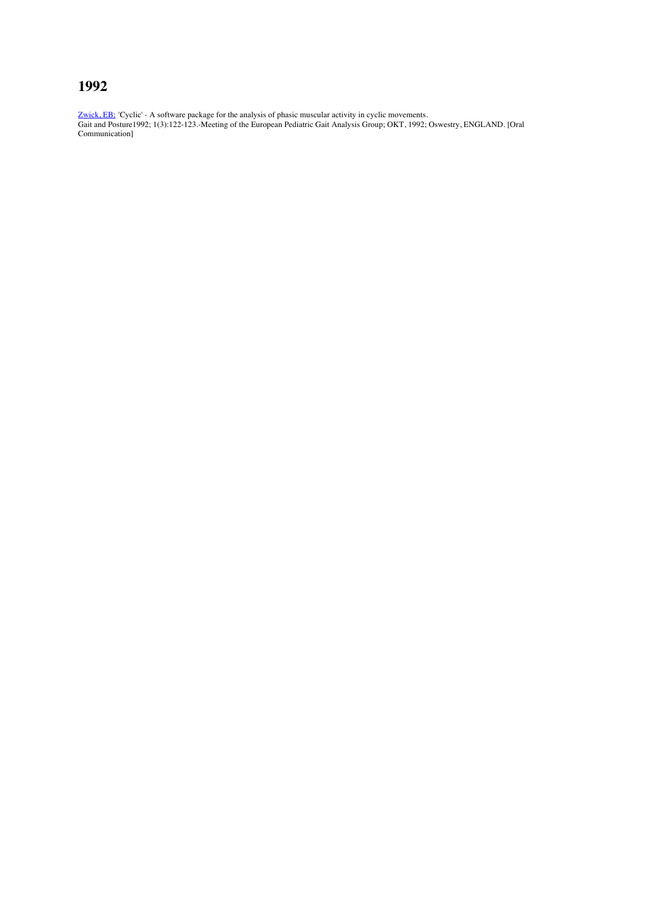# **1992**

Zwick, EB; 'Cyclic' - A software package for the analysis of phasic muscular activity in cyclic movements. Gait and Posture1992; 1(3):122-123.-Meeting of the European Pediatric Gait Analysis Group; OKT, 1992; Oswestry, ENGLAND. [Oral Communication]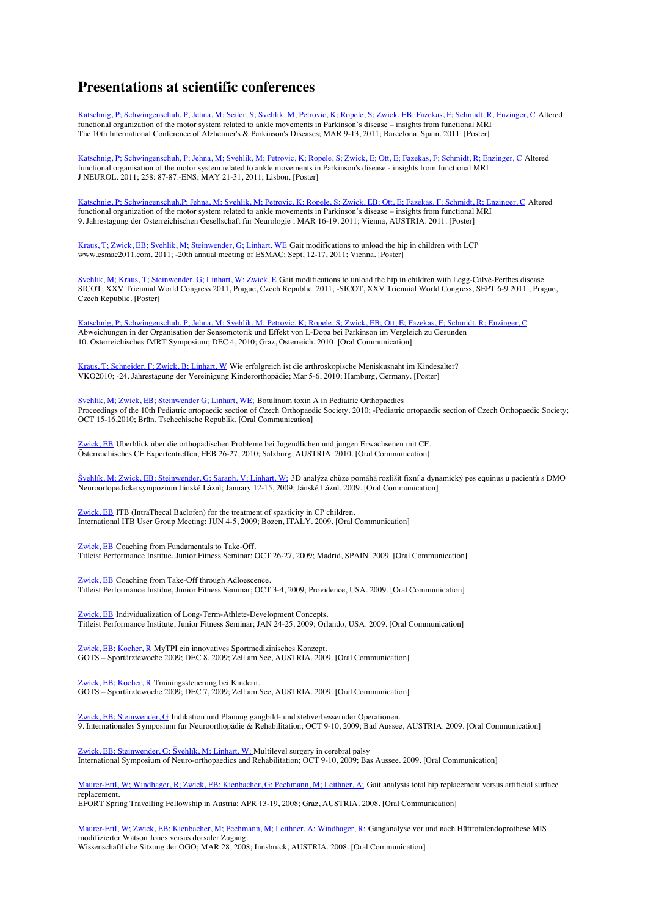# **Presentations at scientific conferences**

Katschnig, P; Schwingenschuh, P; Jehna, M; Seiler, S; Svehlik, M; Petrovic, K; Ropele, S; Zwick, EB; Fazekas, F; Schmidt, R; Enzinger, C Altered functional organization of the motor system related to ankle movements in Parkinson's disease – insights from functional MRI The 10th International Conference of Alzheimer's & Parkinson's Diseases; MAR 9-13, 2011; Barcelona, Spain. 2011. [Poster]

Katschnig, P; Schwingenschuh, P; Jehna, M; Svehlik, M; Petrovic, K; Ropele, S; Zwick, E; Ott, E; Fazekas, F; Schmidt, R; Enzinger, C Altered functional organisation of the motor system related to ankle movements in Parkinson's disease - insights from functional MRI J NEUROL. 2011; 258: 87-87.-ENS; MAY 21-31, 2011; Lisbon. [Poster]

Katschnig, P; Schwingenschuh,P; Jehna, M; Svehlik, M; Petrovic, K; Ropele, S; Zwick, EB; Ott, E; Fazekas, F; Schmidt, R; Enzinger, C Altered functional organization of the motor system related to ankle movements in Parkinson's disease – insights from functional MRI 9. Jahrestagung der Österreichischen Gesellschaft für Neurologie ; MAR 16-19, 2011; Vienna, AUSTRIA. 2011. [Poster]

Kraus, T; Zwick, EB; Svehlik, M; Steinwender, G; Linhart, WE Gait modifications to unload the hip in children with LCP www.esmac2011.com. 2011; -20th annual meeting of ESMAC; Sept, 12-17, 2011; Vienna. [Poster]

Svehlik, M; Kraus, T; Steinwender, G; Linhart, W; Zwick, E Gait modifications to unload the hip in children with Legg-Calvé-Perthes disease SICOT; XXV Triennial World Congress 2011, Prague, Czech Republic. 2011; -SICOT, XXV Triennial World Congress; SEPT 6-9 2011 ; Prague, Czech Republic. [Poster]

Katschnig, P; Schwingenschuh, P; Jehna, M; Svehlik, M; Petrovic, K; Ropele, S; Zwick, EB; Ott, E; Fazekas, F; Schmidt, R; Enzinger, C Abweichungen in der Organisation der Sensomotorik und Effekt von L-Dopa bei Parkinson im Vergleich zu Gesunden 10. Österreichisches fMRT Symposium; DEC 4, 2010; Graz, Österreich. 2010. [Oral Communication]

Kraus, T; Schneider, F; Zwick, B; Linhart, W Wie erfolgreich ist die arthroskopische Meniskusnaht im Kindesalter? VKO2010; -24. Jahrestagung der Vereinigung Kinderorthopädie; Mar 5-6, 2010; Hamburg, Germany. [Poster]

Svehlik, M; Zwick, EB; Steinwender G; Linhart, WE; Botulinum toxin A in Pediatric Orthopaedics Proceedings of the 10th Pediatric ortopaedic section of Czech Orthopaedic Society. 2010; -Pediatric ortopaedic section of Czech Orthopaedic Society; OCT 15-16,2010; Brün, Tschechische Republik. [Oral Communication]

Zwick, EB Überblick über die orthopädischen Probleme bei Jugendlichen und jungen Erwachsenen mit CF. Österreichisches CF Expertentreffen; FEB 26-27, 2010; Salzburg, AUSTRIA. 2010. [Oral Communication]

Švehlík, M; Zwick, EB; Steinwender, G; Saraph, V; Linhart, W; 3D analýza chùze pomáhá rozlišit fixní a dynamický pes equinus u pacientù s DMO Neuroortopedicke sympozium Jánské Láznì; January 12-15, 2009; Jánské Láznì. 2009. [Oral Communication]

Zwick, EB ITB (IntraThecal Baclofen) for the treatment of spasticity in CP children. International ITB User Group Meeting; JUN 4-5, 2009; Bozen, ITALY. 2009. [Oral Communication]

Zwick, EB Coaching from Fundamentals to Take-Off. Titleist Performance Institue, Junior Fitness Seminar; OCT 26-27, 2009; Madrid, SPAIN. 2009. [Oral Communication]

Zwick, EB Coaching from Take-Off through Adloescence. Titleist Performance Institue, Junior Fitness Seminar; OCT 3-4, 2009; Providence, USA. 2009. [Oral Communication]

Zwick, EB Individualization of Long-Term-Athlete-Development Concepts. Titleist Performance Institute, Junior Fitness Seminar; JAN 24-25, 2009; Orlando, USA. 2009. [Oral Communication]

Zwick, EB; Kocher, R MyTPI ein innovatives Sportmedizinisches Konzept. GOTS – Sportärztewoche 2009; DEC 8, 2009; Zell am See, AUSTRIA. 2009. [Oral Communication]

Zwick, EB; Kocher, R Trainingssteuerung bei Kindern. GOTS – Sportärztewoche 2009; DEC 7, 2009; Zell am See, AUSTRIA. 2009. [Oral Communication]

Zwick, EB; Steinwender, G Indikation und Planung gangbild- und stehverbessernder Operationen. 9. Internationales Symposium fur Neuroorthopädie & Rehabilitation; OCT 9-10, 2009; Bad Aussee, AUSTRIA. 2009. [Oral Communication]

Zwick, EB; Steinwender, G; Švehlík, M; Linhart, W; Multilevel surgery in cerebral palsy International Symposium of Neuro-orthopaedics and Rehabilitation; OCT 9-10, 2009; Bas Aussee. 2009. [Oral Communication]

Maurer-Ertl, W; Windhager, R; Zwick, EB; Kienbacher, G; Pechmann, M; Leithner, A; Gait analysis total hip replacement versus artificial surface replacement.

EFORT Spring Travelling Fellowship in Austria; APR 13-19, 2008; Graz, AUSTRIA. 2008. [Oral Communication]

Maurer-Ertl, W; Zwick, EB; Kienbacher, M; Pechmann, M; Leithner, A; Windhager, R; Ganganalyse vor und nach Hüfttotalendoprothese MIS modifizierter Watson Jones versus dorsaler Zugang.

Wissenschaftliche Sitzung der ÖGO; MAR 28, 2008; Innsbruck, AUSTRIA. 2008. [Oral Communication]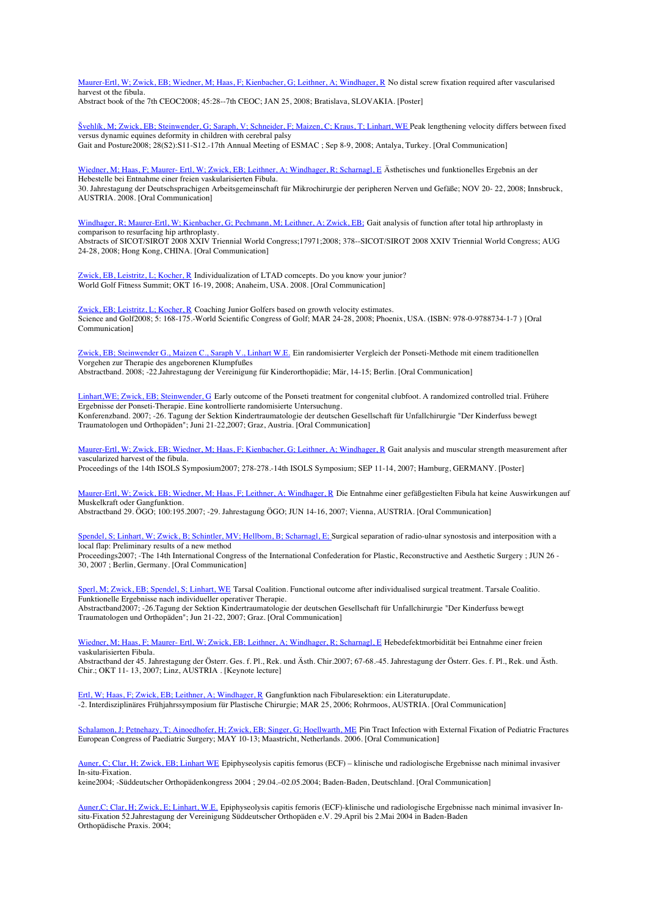Maurer-Ertl, W; Zwick, EB; Wiedner, M; Haas, F; Kienbacher, G; Leithner, A; Windhager, R No distal screw fixation required after vascularised harvest ot the fibula.

Abstract book of the 7th CEOC2008; 45:28--7th CEOC; JAN 25, 2008; Bratislava, SLOVAKIA. [Poster]

Švehlík, M; Zwick, EB; Steinwender, G; Saraph, V; Schneider, F; Maizen, C; Kraus, T; Linhart, WE Peak lengthening velocity differs between fixed versus dynamic equines deformity in children with cerebral palsy Gait and Posture2008; 28(S2):S11-S12.-17th Annual Meeting of ESMAC ; Sep 8-9, 2008; Antalya, Turkey. [Oral Communication]

Wiedner, M; Haas, F; Maurer- Ertl, W; Zwick, EB; Leithner, A; Windhager, R; Scharnagl, E Ästhetisches und funktionelles Ergebnis an der Hebestelle bei Entnahme einer freien vaskularisierten Fibula. 30. Jahrestagung der Deutschsprachigen Arbeitsgemeinschaft für Mikrochirurgie der peripheren Nerven und Gefäße; NOV 20- 22, 2008; Innsbruck,

AUSTRIA. 2008. [Oral Communication]

Windhager, R; Maurer-Ertl, W; Kienbacher, G; Pechmann, M; Leithner, A; Zwick, EB; Gait analysis of function after total hip arthroplasty in comparison to resurfacing hip arthroplasty. Abstracts of SICOT/SIROT 2008 XXIV Triennial World Congress;17971;2008; 378--SICOT/SIROT 2008 XXIV Triennial World Congress; AUG

24-28, 2008; Hong Kong, CHINA. [Oral Communication]

Zwick, EB, Leistritz, L; Kocher, R Individualization of LTAD comcepts. Do you know your junior? World Golf Fitness Summit; OKT 16-19, 2008; Anaheim, USA. 2008. [Oral Communication]

Zwick, EB; Leistritz, L; Kocher, R Coaching Junior Golfers based on growth velocity estimates. Science and Golf2008; 5: 168-175.-World Scientific Congress of Golf; MAR 24-28, 2008; Phoenix, USA. (ISBN: 978-0-9788734-1-7 ) [Oral Communication]

Zwick, EB; Steinwender G., Maizen C., Saraph V., Linhart W.E. Ein randomisierter Vergleich der Ponseti-Methode mit einem traditionellen Vorgehen zur Therapie des angeborenen Klumpfußes Abstractband. 2008; -22.Jahrestagung der Vereinigung für Kinderorthopädie; Mär, 14-15; Berlin. [Oral Communication]

Linhart,WE; Zwick, EB; Steinwender, G Early outcome of the Ponseti treatment for congenital clubfoot. A randomized controlled trial. Frühere Ergebnisse der Ponseti-Therapie. Eine kontrollierte randomisierte Untersuchung. Konferenzband. 2007; -26. Tagung der Sektion Kindertraumatologie der deutschen Gesellschaft für Unfallchirurgie "Der Kinderfuss bewegt Traumatologen und Orthopäden"; Juni 21-22,2007; Graz, Austria. [Oral Communication]

Maurer-Ertl, W; Zwick, EB; Wiedner, M; Haas, F; Kienbacher, G; Leithner, A; Windhager, R Gait analysis and muscular strength measurement after vascularized harvest of the fibula. Proceedings of the 14th ISOLS Symposium2007; 278-278.-14th ISOLS Symposium; SEP 11-14, 2007; Hamburg, GERMANY. [Poster]

Maurer-Ertl, W; Zwick, EB; Wiedner, M; Haas, F; Leithner, A; Windhager, R Die Entnahme einer gefäßgestielten Fibula hat keine Auswirkungen auf

Muskelkraft oder Gangfunktion. Abstractband 29. ÖGO; 100:195.2007; -29. Jahrestagung ÖGO; JUN 14-16, 2007; Vienna, AUSTRIA. [Oral Communication]

Spendel, S; Linhart, W; Zwick, B; Schintler, MV; Hellbom, B; Scharnagl, E; Surgical separation of radio-ulnar synostosis and interposition with a local flap: Preliminary results of a new method

Proceedings2007; -The 14th International Congress of the International Confederation for Plastic, Reconstructive and Aesthetic Surgery ; JUN 26 - 30, 2007 ; Berlin, Germany. [Oral Communication]

Sperl, M; Zwick, EB; Spendel, S; Linhart, WE Tarsal Coalition. Functional outcome after individualised surgical treatment. Tarsale Coalitio. Funktionelle Ergebnisse nach individueller operativer Therapie. Abstractband2007; -26.Tagung der Sektion Kindertraumatologie der deutschen Gesellschaft für Unfallchirurgie "Der Kinderfuss bewegt Traumatologen und Orthopäden"; Jun 21-22, 2007; Graz. [Oral Communication]

Wiedner, M; Haas, F; Maurer- Ertl, W; Zwick, EB; Leithner, A; Windhager, R; Scharnagl, E Hebedefektmorbidität bei Entnahme einer freien vaskularisierten Fibula.

Abstractband der 45. Jahrestagung der Österr. Ges. f. Pl., Rek. und Ästh. Chir.2007; 67-68.-45. Jahrestagung der Österr. Ges. f. Pl., Rek. und Ästh. Chir.; OKT 11- 13, 2007; Linz, AUSTRIA . [Keynote lecture]

Ertl, W; Haas, F; Zwick, EB; Leithner, A; Windhager, R Gangfunktion nach Fibularesektion: ein Literaturupdate. -2. Interdisziplinäres Frühjahrssymposium für Plastische Chirurgie; MAR 25, 2006; Rohrmoos, AUSTRIA. [Oral Communication]

Schalamon, J; Petnehazy, T; Ainoedhofer, H; Zwick, EB; Singer, G; Hoellwarth, ME Pin Tract Infection with External Fixation of Pediatric Fractures European Congress of Paediatric Surgery; MAY 10-13; Maastricht, Netherlands. 2006. [Oral Communication]

Auner, C; Clar, H; Zwick, EB; Linhart WE Epiphyseolysis capitis femorus (ECF) – klinische und radiologische Ergebnisse nach minimal invasiver In-situ-Fixation.

keine2004; -Süddeutscher Orthopädenkongress 2004 ; 29.04.–02.05.2004; Baden-Baden, Deutschland. [Oral Communication]

Auner,C; Clar, H; Zwick, E; Linhart, W.E. Epiphyseolysis capitis femoris (ECF)-klinische und radiologische Ergebnisse nach minimal invasiver Insitu-Fixation 52.Jahrestagung der Vereinigung Süddeutscher Orthopäden e.V. 29.April bis 2.Mai 2004 in Baden-Baden Orthopädische Praxis. 2004;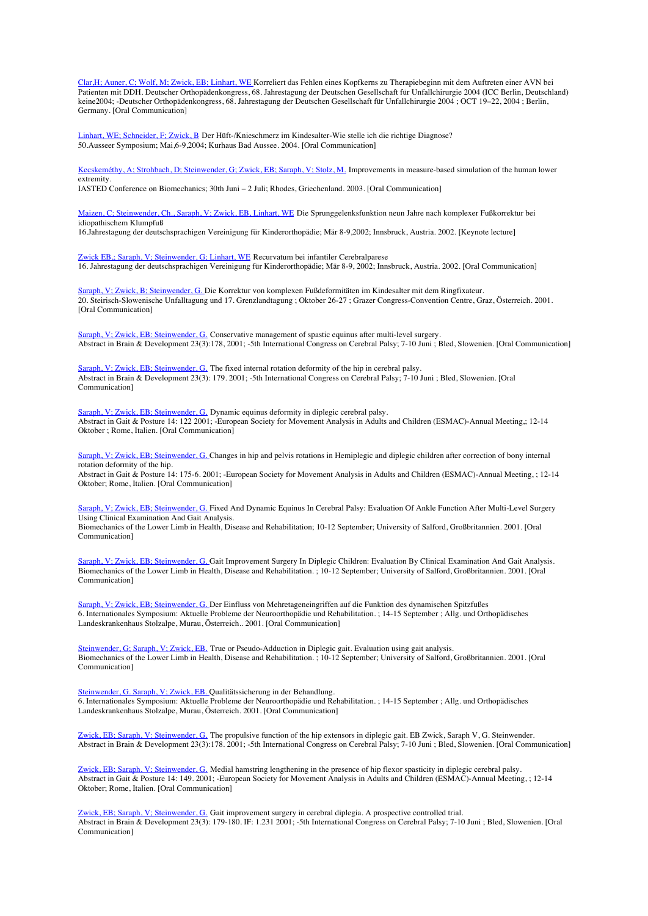Clar,H; Auner, C; Wolf, M; Zwick, EB; Linhart, WE Korreliert das Fehlen eines Kopfkerns zu Therapiebeginn mit dem Auftreten einer AVN bei Patienten mit DDH. Deutscher Orthopädenkongress, 68. Jahrestagung der Deutschen Gesellschaft für Unfallchirurgie 2004 (ICC Berlin, Deutschland) keine2004; -Deutscher Orthopädenkongress, 68. Jahrestagung der Deutschen Gesellschaft für Unfallchirurgie 2004 ; OCT 19–22, 2004 ; Berlin, Germany. [Oral Communication]

Linhart, WE; Schneider, F; Zwick, B Der Hüft-/Knieschmerz im Kindesalter-Wie stelle ich die richtige Diagnose? 50.Ausseer Symposium; Mai,6-9,2004; Kurhaus Bad Aussee. 2004. [Oral Communication]

Kecskeméthy, A; Strohbach, D; Steinwender, G; Zwick, EB; Saraph, V; Stolz, M. Improvements in measure-based simulation of the human lower extremity.

IASTED Conference on Biomechanics; 30th Juni – 2 Juli; Rhodes, Griechenland. 2003. [Oral Communication]

Maizen, C; Steinwender, Ch., Saraph, V; Zwick, EB, Linhart, WE Die Sprunggelenksfunktion neun Jahre nach komplexer Fußkorrektur bei idiopathischem Klumpfuß

16.Jahrestagung der deutschsprachigen Vereinigung für Kinderorthopädie; Mär 8-9,2002; Innsbruck, Austria. 2002. [Keynote lecture]

Zwick EB,; Saraph, V; Steinwender, G; Linhart, WE Recurvatum bei infantiler Cerebralparese 16. Jahrestagung der deutschsprachigen Vereinigung für Kinderorthopädie; Mär 8-9, 2002; Innsbruck, Austria. 2002. [Oral Communication]

Saraph, V; Zwick, B; Steinwender, G. Die Korrektur von komplexen Fußdeformitäten im Kindesalter mit dem Ringfixateur. 20. Steirisch-Slowenische Unfalltagung und 17. Grenzlandtagung ; Oktober 26-27 ; Grazer Congress-Convention Centre, Graz, Österreich. 2001. [Oral Communication]

Saraph, V; Zwick, EB: Steinwender, G. Conservative management of spastic equinus after multi-level surgery. Abstract in Brain & Development 23(3):178, 2001; -5th International Congress on Cerebral Palsy; 7-10 Juni ; Bled, Slowenien. [Oral Communication]

Saraph, V; Zwick, EB; Steinwender, G. The fixed internal rotation deformity of the hip in cerebral palsy. Abstract in Brain & Development 23(3): 179. 2001; -5th International Congress on Cerebral Palsy; 7-10 Juni ; Bled, Slowenien. [Oral Communication]

Saraph, V; Zwick, EB; Steinwender, G. Dynamic equinus deformity in diplegic cerebral palsy. Abstract in Gait & Posture 14: 122 2001; -European Society for Movement Analysis in Adults and Children (ESMAC)-Annual Meeting,; 12-14 Oktober ; Rome, Italien. [Oral Communication]

Saraph, V; Zwick, EB; Steinwender, G. Changes in hip and pelvis rotations in Hemiplegic and diplegic children after correction of bony internal rotation deformity of the hip.

Abstract in Gait & Posture 14: 175-6. 2001; -European Society for Movement Analysis in Adults and Children (ESMAC)-Annual Meeting, ; 12-14 Oktober; Rome, Italien. [Oral Communication]

Saraph, V; Zwick, EB; Steinwender, G. Fixed And Dynamic Equinus In Cerebral Palsy: Evaluation Of Ankle Function After Multi-Level Surgery Using Clinical Examination And Gait Analysis.

Biomechanics of the Lower Limb in Health, Disease and Rehabilitation; 10-12 September; University of Salford, Großbritannien. 2001. [Oral Communication]

Saraph, V; Zwick, EB; Steinwender, G. Gait Improvement Surgery In Diplegic Children: Evaluation By Clinical Examination And Gait Analysis. Biomechanics of the Lower Limb in Health, Disease and Rehabilitation. ; 10-12 September; University of Salford, Großbritannien. 2001. [Oral Communication]

Saraph, V; Zwick, EB; Steinwender, G. Der Einfluss von Mehretageneingriffen auf die Funktion des dynamischen Spitzfußes 6. Internationales Symposium: Aktuelle Probleme der Neuroorthopädie und Rehabilitation. ; 14-15 September ; Allg. und Orthopädisches Landeskrankenhaus Stolzalpe, Murau, Österreich.. 2001. [Oral Communication]

Steinwender, G; Saraph, V; Zwick, EB. True or Pseudo-Adduction in Diplegic gait. Evaluation using gait analysis. Biomechanics of the Lower Limb in Health, Disease and Rehabilitation. ; 10-12 September; University of Salford, Großbritannien. 2001. [Oral Communication]

Steinwender, G. Saraph, V; Zwick, EB. Qualitätssicherung in der Behandlung. 6. Internationales Symposium: Aktuelle Probleme der Neuroorthopädie und Rehabilitation. ; 14-15 September ; Allg. und Orthopädisches Landeskrankenhaus Stolzalpe, Murau, Österreich. 2001. [Oral Communication]

Zwick, EB; Saraph, V: Steinwender, G. The propulsive function of the hip extensors in diplegic gait. EB Zwick, Saraph V, G. Steinwender. Abstract in Brain & Development 23(3):178. 2001; -5th International Congress on Cerebral Palsy; 7-10 Juni ; Bled, Slowenien. [Oral Communication]

Zwick, EB; Saraph, V; Steinwender, G. Medial hamstring lengthening in the presence of hip flexor spasticity in diplegic cerebral palsy. Abstract in Gait & Posture 14: 149. 2001; -European Society for Movement Analysis in Adults and Children (ESMAC)-Annual Meeting, ; 12-14 Oktober; Rome, Italien. [Oral Communication]

Zwick, EB; Saraph, V; Steinwender, G. Gait improvement surgery in cerebral diplegia. A prospective controlled trial. Abstract in Brain & Development 23(3): 179-180. IF: 1.231 2001; -5th International Congress on Cerebral Palsy; 7-10 Juni ; Bled, Slowenien. [Oral Communication]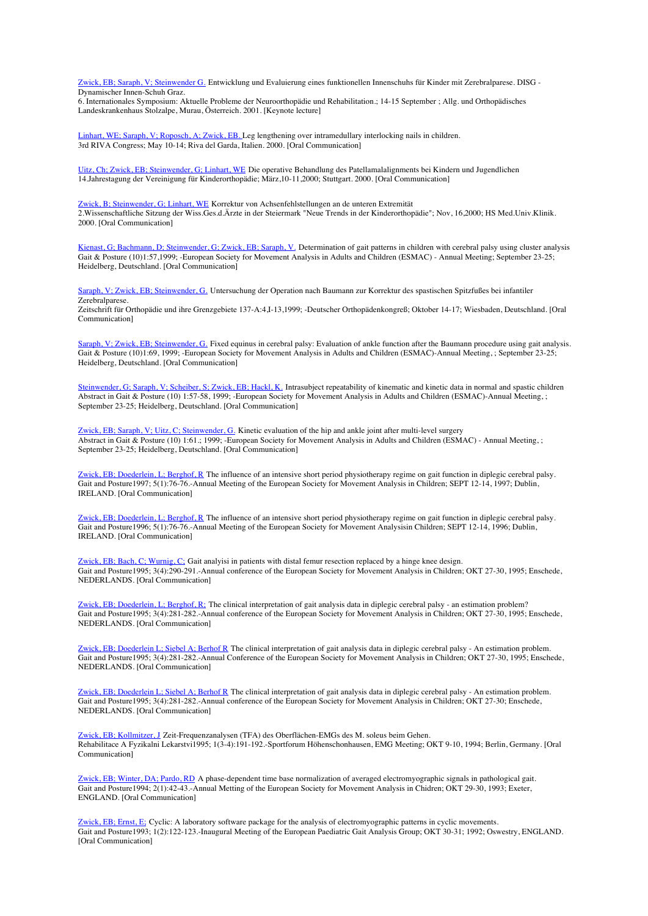Zwick, EB; Saraph, V; Steinwender G. Entwicklung und Evaluierung eines funktionellen Innenschuhs für Kinder mit Zerebralparese. DISG - Dynamischer Innen-Schuh Graz.

6. Internationales Symposium: Aktuelle Probleme der Neuroorthopädie und Rehabilitation.; 14-15 September ; Allg. und Orthopädisches Landeskrankenhaus Stolzalpe, Murau, Österreich. 2001. [Keynote lecture]

Linhart, WE; Saraph, V; Roposch, A; Zwick, EB. Leg lengthening over intramedullary interlocking nails in children. 3rd RIVA Congress; May 10-14; Riva del Garda, Italien. 2000. [Oral Communication]

Uitz, Ch; Zwick, EB; Steinwender, G; Linhart, WE Die operative Behandlung des Patellamalalignments bei Kindern und Jugendlichen 14.Jahrestagung der Vereinigung für Kinderorthopädie; März,10-11,2000; Stuttgart. 2000. [Oral Communication]

Zwick, B; Steinwender, G; Linhart, WE Korrektur von Achsenfehlstellungen an de unteren Extremität 2.Wissenschaftliche Sitzung der Wiss.Ges.d.Ärzte in der Steiermark "Neue Trends in der Kinderorthopädie"; Nov, 16,2000; HS Med.Univ.Klinik. 2000. [Oral Communication]

Kienast, G; Bachmann, D; Steinwender, G; Zwick, EB; Saraph, V. Determination of gait patterns in children with cerebral palsy using cluster analysis Gait & Posture (10)1:57,1999; -European Society for Movement Analysis in Adults and Children (ESMAC) - Annual Meeting; September 23-25; Heidelberg, Deutschland. [Oral Communication]

Saraph, V; Zwick, EB; Steinwender, G. Untersuchung der Operation nach Baumann zur Korrektur des spastischen Spitzfußes bei infantiler Zerebralparese.

Zeitschrift für Orthopädie und ihre Grenzgebiete 137-A:4,I-13,1999; -Deutscher Orthopädenkongreß; Oktober 14-17; Wiesbaden, Deutschland. [Oral Communication]

Saraph, V; Zwick, EB; Steinwender, G. Fixed equinus in cerebral palsy: Evaluation of ankle function after the Baumann procedure using gait analysis. Gait & Posture (10)1:69, 1999; -European Society for Movement Analysis in Adults and Children (ESMAC)-Annual Meeting, ; September 23-25; Heidelberg, Deutschland. [Oral Communication]

Steinwender, G; Saraph, V; Scheiber, S; Zwick, EB; Hackl, K. Intrasubject repeatability of kinematic and kinetic data in normal and spastic children Abstract in Gait & Posture (10) 1:57-58, 1999; -European Society for Movement Analysis in Adults and Children (ESMAC)-Annual Meeting, ; September 23-25; Heidelberg, Deutschland. [Oral Communication]

Zwick, EB; Saraph, V; Uitz, C; Steinwender, G. Kinetic evaluation of the hip and ankle joint after multi-level surgery Abstract in Gait & Posture (10) 1:61.; 1999; -European Society for Movement Analysis in Adults and Children (ESMAC) - Annual Meeting, ; September 23-25; Heidelberg, Deutschland. [Oral Communication]

Zwick, EB; Doederlein, L; Berghof, R The influence of an intensive short period physiotherapy regime on gait function in diplegic cerebral palsy. Gait and Posture1997; 5(1):76-76.-Annual Meeting of the European Society for Movement Analysis in Children; SEPT 12-14, 1997; Dublin, IRELAND. [Oral Communication]

Zwick, EB; Doederlein, L; Berghof, R The influence of an intensive short period physiotherapy regime on gait function in diplegic cerebral palsy. Gait and Posture1996; 5(1):76-76.-Annual Meeting of the European Society for Movement Analysisin Children; SEPT 12-14, 1996; Dublin, IRELAND. [Oral Communication]

Zwick, EB; Bach, C; Wurnig, C; Gait analyisi in patients with distal femur resection replaced by a hinge knee design. Gait and Posture1995; 3(4):290-291.-Annual conference of the European Society for Movement Analysis in Children; OKT 27-30, 1995; Enschede, NEDERLANDS. [Oral Communication]

Zwick, EB; Doederlein, L; Berghof, R; The clinical interpretation of gait analysis data in diplegic cerebral palsy - an estimation problem? Gait and Posture1995; 3(4):281-282.-Annual conference of the European Society for Movement Analysis in Children; OKT 27-30, 1995; Enschede, NEDERLANDS. [Oral Communication]

Zwick, EB; Doederlein L; Siebel A; Berhof R The clinical interpretation of gait analysis data in diplegic cerebral palsy - An estimation problem. Gait and Posture1995; 3(4):281-282.-Annual Conference of the European Society for Movement Analysis in Children; OKT 27-30, 1995; Enschede, NEDERLANDS. [Oral Communication]

Zwick, EB; Doederlein L; Siebel A; Berhof R The clinical interpretation of gait analysis data in diplegic cerebral palsy - An estimation problem. Gait and Posture1995; 3(4):281-282.-Annual conference of the European Society for Movement Analysis in Children; OKT 27-30; Enschede, NEDERLANDS. [Oral Communication]

Zwick, EB; Kollmitzer, J Zeit-Frequenzanalysen (TFA) des Oberflächen-EMGs des M. soleus beim Gehen. Rehabilitace A Fyzikalni Lekarstvi1995; 1(3-4):191-192.-Sportforum Höhenschonhausen, EMG Meeting; OKT 9-10, 1994; Berlin, Germany. [Oral Communication]

Zwick, EB; Winter, DA; Pardo, RD A phase-dependent time base normalization of averaged electromyographic signals in pathological gait. Gait and Posture1994; 2(1):42-43.-Annual Metting of the European Society for Movement Analysis in Chidren; OKT 29-30, 1993; Exeter, ENGLAND. [Oral Communication]

Zwick, EB; Ernst, E; Cyclic: A laboratory software package for the analysis of electromyographic patterns in cyclic movements. Gait and Posture1993; 1(2):122-123.-Inaugural Meeting of the European Paediatric Gait Analysis Group; OKT 30-31; 1992; Oswestry, ENGLAND. [Oral Communication]